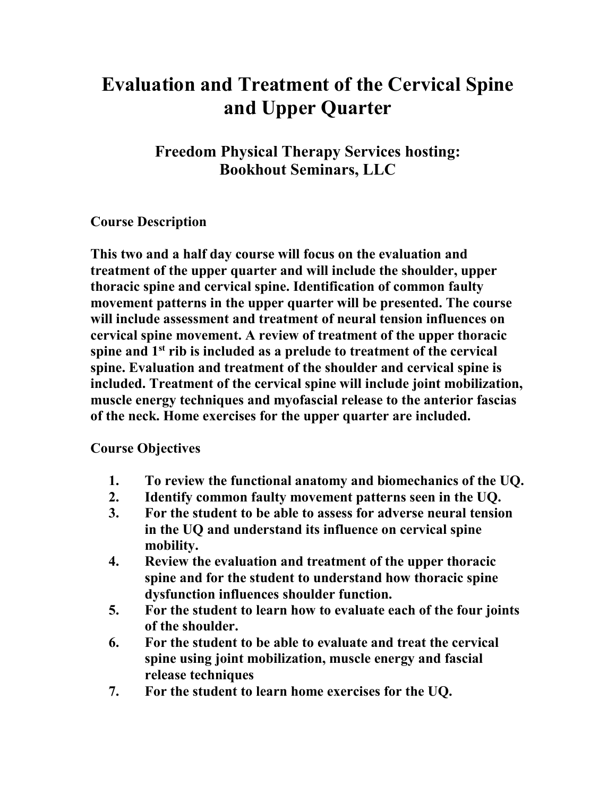## **Evaluation and Treatment of the Cervical Spine and Upper Quarter**

**Freedom Physical Therapy Services hosting: Bookhout Seminars, LLC**

## **Course Description**

**This two and a half day course will focus on the evaluation and treatment of the upper quarter and will include the shoulder, upper thoracic spine and cervical spine. Identification of common faulty movement patterns in the upper quarter will be presented. The course will include assessment and treatment of neural tension influences on cervical spine movement. A review of treatment of the upper thoracic spine and 1st rib is included as a prelude to treatment of the cervical spine. Evaluation and treatment of the shoulder and cervical spine is included. Treatment of the cervical spine will include joint mobilization, muscle energy techniques and myofascial release to the anterior fascias of the neck. Home exercises for the upper quarter are included.** 

## **Course Objectives**

- **1. To review the functional anatomy and biomechanics of the UQ.**
- **2. Identify common faulty movement patterns seen in the UQ.**
- **3. For the student to be able to assess for adverse neural tension in the UQ and understand its influence on cervical spine mobility.**
- **4. Review the evaluation and treatment of the upper thoracic spine and for the student to understand how thoracic spine dysfunction influences shoulder function.**
- **5. For the student to learn how to evaluate each of the four joints of the shoulder.**
- **6. For the student to be able to evaluate and treat the cervical spine using joint mobilization, muscle energy and fascial release techniques**
- **7. For the student to learn home exercises for the UQ.**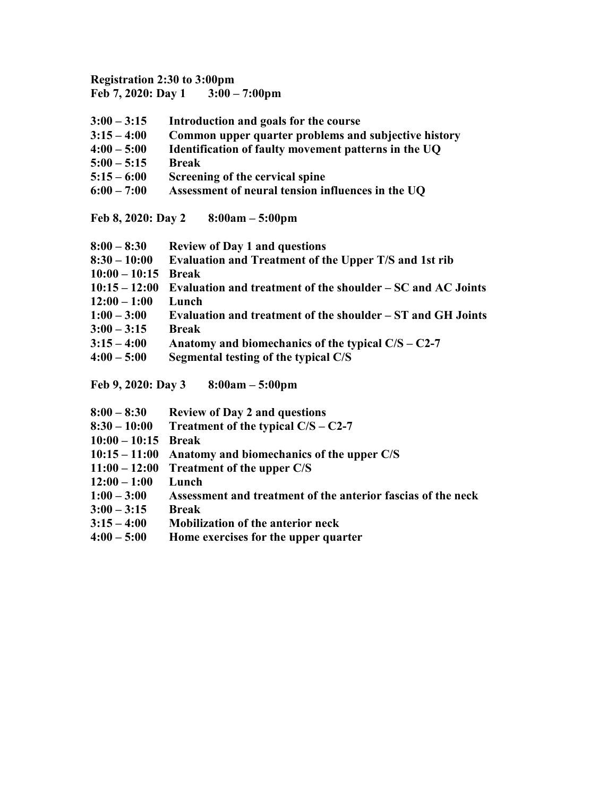## **Registration 2:30 to 3:00pm Feb 7, 2020: Day 1 3:00 – 7:00pm**

| $3:00 - 3:15$ | Introduction and goals for the course                |
|---------------|------------------------------------------------------|
| $3:15 - 4:00$ | Common upper quarter problems and subjective history |
| $4:00 - 5:00$ | Identification of faulty movement patterns in the UQ |
| $5:00 - 5:15$ | <b>Break</b>                                         |
| $5:15 - 6:00$ | Screening of the cervical spine                      |

**6:00 – 7:00 Assessment of neural tension influences in the UQ**

**Feb 8, 2020: Day 2 8:00am – 5:00pm**

| $8:00 - 8:30$   | <b>Review of Day 1 and questions</b>                        |
|-----------------|-------------------------------------------------------------|
| $8:30 - 10:00$  | Evaluation and Treatment of the Upper T/S and 1st rib       |
| $10:00 - 10:15$ | <b>Break</b>                                                |
| $10:15 - 12:00$ | Evaluation and treatment of the shoulder – SC and AC Joints |
| $12:00 - 1:00$  | Lunch                                                       |
| $1:00 - 3:00$   | Evaluation and treatment of the shoulder – ST and GH Joints |
| $3:00 - 3:15$   | <b>Break</b>                                                |
| $3:15 - 4:00$   | Anatomy and biomechanics of the typical $C/S - C2-7$        |
| $4:00 - 5:00$   | Segmental testing of the typical C/S                        |
|                 |                                                             |

**Feb 9, 2020: Day 3 8:00am – 5:00pm**

| $8:00 - 8:30$ |  | <b>Review of Day 2 and questions</b> |
|---------------|--|--------------------------------------|
|               |  |                                      |

- **8:30 – 10:00 Treatment of the typical C/S – C2-7**
- **10:00 – 10:15 Break**
- **10:15 – 11:00 Anatomy and biomechanics of the upper C/S**
- **11:00 – 12:00 Treatment of the upper C/S**
- **12:00 – 1:00 Lunch**
- **1:00 – 3:00 Assessment and treatment of the anterior fascias of the neck**
- **3:00 – 3:15 Break**
- **3:15 – 4:00 Mobilization of the anterior neck**
- **4:00 – 5:00 Home exercises for the upper quarter**